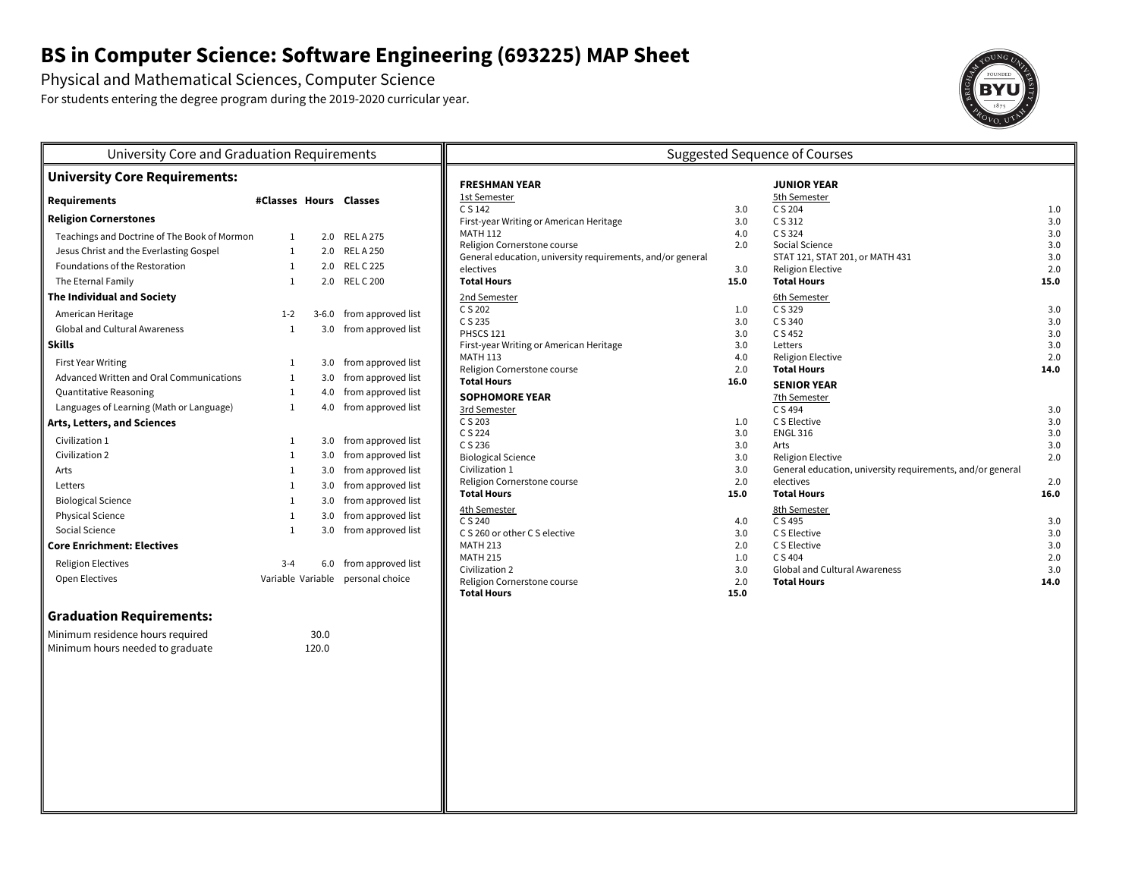# **BS in Computer Science: Software Engineering (693225) MAP Sheet**

Physical and Mathematical Sciences, Computer Science

For students entering the degree program during the 2019-2020 curricular year.



| University Core and Graduation Requirements  |                        |       |                                   | <b>Suggested Sequence of Courses</b>                       |                    |                                                            |             |  |
|----------------------------------------------|------------------------|-------|-----------------------------------|------------------------------------------------------------|--------------------|------------------------------------------------------------|-------------|--|
| <b>University Core Requirements:</b>         |                        |       | <b>FRESHMAN YEAR</b>              |                                                            | <b>JUNIOR YEAR</b> |                                                            |             |  |
| <b>Requirements</b>                          | #Classes Hours Classes |       |                                   | 1st Semester                                               |                    | 5th Semester                                               |             |  |
| <b>Religion Cornerstones</b>                 |                        |       |                                   | C S 142<br>First-year Writing or American Heritage         | 3.0<br>3.0         | C S 204<br>C S 312                                         | 1.0<br>3.0  |  |
| Teachings and Doctrine of The Book of Mormon | $\mathbf{1}$           |       | 2.0 RELA275                       | <b>MATH 112</b>                                            | 4.0                | C S 324                                                    | 3.0         |  |
| Jesus Christ and the Everlasting Gospel      | $\mathbf{1}$           |       | 2.0 RELA 250                      | Religion Cornerstone course                                | 2.0                | Social Science                                             | 3.0         |  |
| Foundations of the Restoration               | $\mathbf{1}$           |       | 2.0 REL C 225                     | General education, university requirements, and/or general |                    | STAT 121, STAT 201, or MATH 431                            | 3.0         |  |
| The Eternal Family                           | $\mathbf{1}$           |       | 2.0 REL C 200                     | electives<br><b>Total Hours</b>                            | 3.0<br>15.0        | <b>Religion Elective</b><br><b>Total Hours</b>             | 2.0<br>15.0 |  |
| <b>The Individual and Society</b>            |                        |       |                                   | 2nd Semester                                               |                    | 6th Semester                                               |             |  |
|                                              |                        |       |                                   | C S 202                                                    | 1.0                | C S 329                                                    | 3.0         |  |
| American Heritage                            | $1 - 2$                |       | 3-6.0 from approved list          | C S 235                                                    | 3.0                | C S 340                                                    | 3.0         |  |
| <b>Global and Cultural Awareness</b>         | $\mathbf{1}$           |       | 3.0 from approved list            | PHSCS 121                                                  | 3.0                | C S 452                                                    | 3.0         |  |
| <b>Skills</b>                                |                        |       |                                   | First-year Writing or American Heritage<br><b>MATH 113</b> | 3.0                | Letters                                                    | 3.0         |  |
| First Year Writing                           | 1                      |       | 3.0 from approved list            | Religion Cornerstone course                                | 4.0<br>2.0         | <b>Religion Elective</b><br><b>Total Hours</b>             | 2.0<br>14.0 |  |
| Advanced Written and Oral Communications     | $\mathbf{1}$           |       | 3.0 from approved list            | <b>Total Hours</b>                                         | 16.0               | <b>SENIOR YEAR</b>                                         |             |  |
| Quantitative Reasoning                       | $\mathbf{1}$           |       | 4.0 from approved list            | <b>SOPHOMORE YEAR</b>                                      |                    | 7th Semester                                               |             |  |
| Languages of Learning (Math or Language)     | $\mathbf{1}$           |       | 4.0 from approved list            | 3rd Semester                                               |                    | C S 494                                                    | 3.0         |  |
| Arts, Letters, and Sciences                  |                        |       |                                   | C S 203                                                    | 1.0                | C S Elective                                               | 3.0         |  |
| Civilization 1                               | 1                      |       | 3.0 from approved list            | C S 224<br>C S 236                                         | 3.0                | <b>ENGL 316</b><br>Arts                                    | 3.0         |  |
| Civilization 2                               | $\mathbf{1}$           |       | 3.0 from approved list            | <b>Biological Science</b>                                  | 3.0<br>3.0         | <b>Religion Elective</b>                                   | 3.0<br>2.0  |  |
| Arts                                         | $\mathbf{1}$           |       | 3.0 from approved list            | Civilization 1                                             | 3.0                | General education, university requirements, and/or general |             |  |
| Letters                                      | $\mathbf{1}$           |       | 3.0 from approved list            | Religion Cornerstone course                                | 2.0                | electives                                                  | 2.0         |  |
| <b>Biological Science</b>                    | $\mathbf{1}$           |       | 3.0 from approved list            | <b>Total Hours</b>                                         | 15.0               | <b>Total Hours</b>                                         | 16.0        |  |
| <b>Physical Science</b>                      | $\mathbf{1}$           |       | 3.0 from approved list            | 4th Semester                                               |                    | 8th Semester                                               |             |  |
| Social Science                               | $\mathbf{1}$           |       | 3.0 from approved list            | C S 240<br>C S 260 or other C S elective                   | 4.0<br>3.0         | C S 495<br>C S Elective                                    | 3.0<br>3.0  |  |
| <b>Core Enrichment: Electives</b>            |                        |       |                                   | <b>MATH 213</b>                                            | 2.0                | C S Elective                                               | 3.0         |  |
| <b>Religion Electives</b>                    | $3 - 4$                |       | 6.0 from approved list            | <b>MATH 215</b>                                            | 1.0                | C S 404                                                    | 2.0         |  |
|                                              |                        |       |                                   | Civilization 2                                             | 3.0                | <b>Global and Cultural Awareness</b>                       | 3.0         |  |
| Open Electives                               |                        |       | Variable Variable personal choice | Religion Cornerstone course<br><b>Total Hours</b>          | 2.0                | <b>Total Hours</b>                                         | 14.0        |  |
|                                              |                        |       |                                   |                                                            | 15.0               |                                                            |             |  |
| <b>Graduation Requirements:</b>              |                        |       |                                   |                                                            |                    |                                                            |             |  |
| Minimum residence hours required             |                        | 30.0  |                                   |                                                            |                    |                                                            |             |  |
| Minimum hours needed to graduate             |                        | 120.0 |                                   |                                                            |                    |                                                            |             |  |
|                                              |                        |       |                                   |                                                            |                    |                                                            |             |  |
|                                              |                        |       |                                   |                                                            |                    |                                                            |             |  |
|                                              |                        |       |                                   |                                                            |                    |                                                            |             |  |
|                                              |                        |       |                                   |                                                            |                    |                                                            |             |  |
|                                              |                        |       |                                   |                                                            |                    |                                                            |             |  |
|                                              |                        |       |                                   |                                                            |                    |                                                            |             |  |
|                                              |                        |       |                                   |                                                            |                    |                                                            |             |  |
|                                              |                        |       |                                   |                                                            |                    |                                                            |             |  |
|                                              |                        |       |                                   |                                                            |                    |                                                            |             |  |
|                                              |                        |       |                                   |                                                            |                    |                                                            |             |  |
|                                              |                        |       |                                   |                                                            |                    |                                                            |             |  |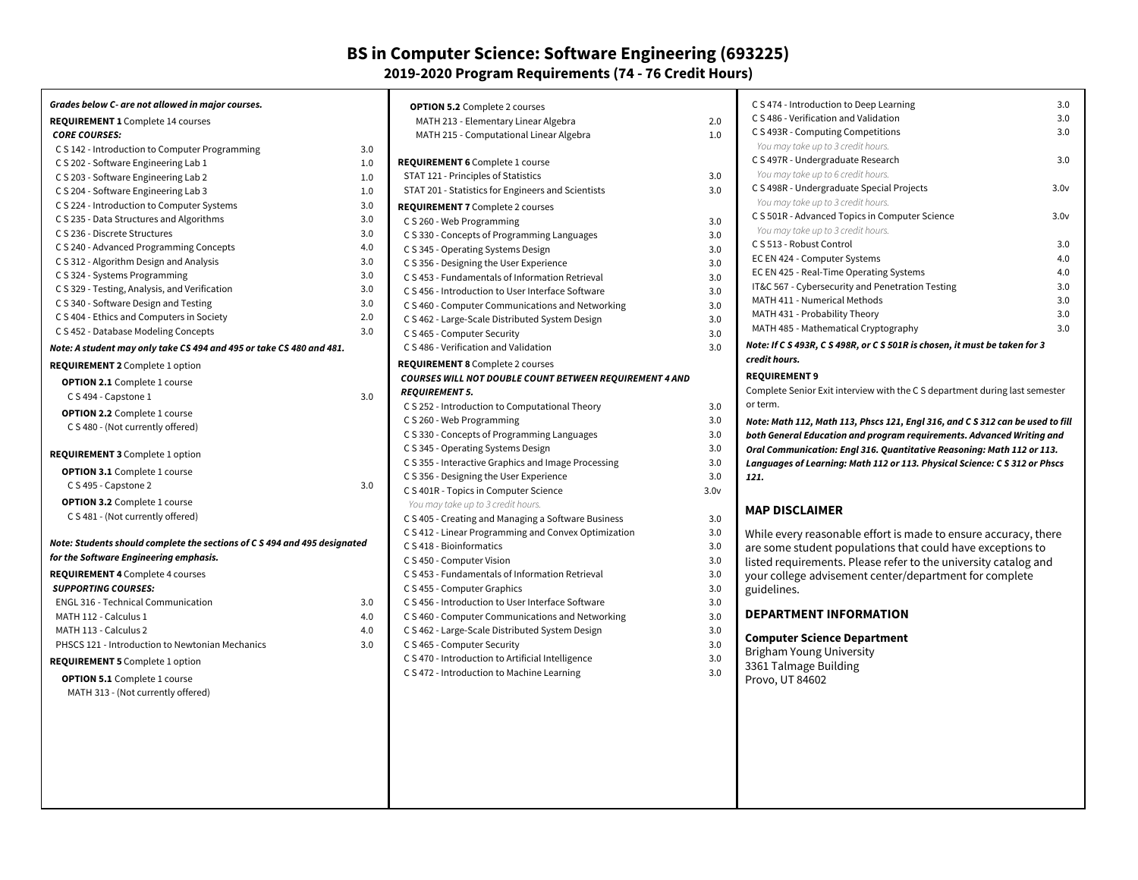### **BS in Computer Science: Software Engineering (693225) 2019-2020 Program Requirements (74 - 76 Credit Hours)**

| Grades below C- are not allowed in major courses.                                  |            | <b>OPTION 5.2</b> Complete 2 courses                                          |
|------------------------------------------------------------------------------------|------------|-------------------------------------------------------------------------------|
| <b>REQUIREMENT 1</b> Complete 14 courses                                           |            | MATH 213 - Elementary Linear Al                                               |
| <b>CORE COURSES:</b>                                                               |            | MATH 215 - Computational Linea                                                |
| C S 142 - Introduction to Computer Programming                                     | 3.0        |                                                                               |
| C S 202 - Software Engineering Lab 1                                               | 1.0        | <b>REQUIREMENT 6</b> Complete 1 course<br>STAT 121 - Principles of Statistics |
| C S 203 - Software Engineering Lab 2                                               | 1.0        | STAT 201 - Statistics for Engineers a                                         |
| C S 204 - Software Engineering Lab 3                                               | 1.0        |                                                                               |
| C S 224 - Introduction to Computer Systems                                         | 3.0<br>3.0 | <b>REQUIREMENT 7</b> Complete 2 course                                        |
| C S 235 - Data Structures and Algorithms<br>C S 236 - Discrete Structures          | 3.0        | C S 260 - Web Programming                                                     |
|                                                                                    | 4.0        | C S 330 - Concepts of Programming                                             |
| C S 240 - Advanced Programming Concepts<br>C S 312 - Algorithm Design and Analysis | 3.0        | C S 345 - Operating Systems Design                                            |
| C S 324 - Systems Programming                                                      | 3.0        | C S 356 - Designing the User Experie                                          |
| C S 329 - Testing, Analysis, and Verification                                      | 3.0        | C S 453 - Fundamentals of Informat                                            |
| C S 340 - Software Design and Testing                                              | 3.0        | C S 456 - Introduction to User Interf                                         |
| C S 404 - Ethics and Computers in Society                                          | 2.0        | C S 460 - Computer Communication                                              |
| C S 452 - Database Modeling Concepts                                               | 3.0        | C S 462 - Large-Scale Distributed Sy                                          |
|                                                                                    |            | C S 465 - Computer Security                                                   |
| Note: A student may only take CS 494 and 495 or take CS 480 and 481.               |            | C S 486 - Verification and Validation                                         |
| <b>REQUIREMENT 2</b> Complete 1 option                                             |            | REQUIREMENT 8 Complete 2 course                                               |
| <b>OPTION 2.1</b> Complete 1 course                                                |            | <b>COURSES WILL NOT DOUBLE COUN</b>                                           |
| C S 494 - Capstone 1                                                               | 3.0        | <b>REQUIREMENT 5.</b>                                                         |
| <b>OPTION 2.2</b> Complete 1 course                                                |            | C S 252 - Introduction to Computati                                           |
| C S 480 - (Not currently offered)                                                  |            | C S 260 - Web Programming                                                     |
|                                                                                    |            | C S 330 - Concepts of Programming                                             |
| <b>REQUIREMENT 3</b> Complete 1 option                                             |            | C S 345 - Operating Systems Design                                            |
| <b>OPTION 3.1</b> Complete 1 course                                                |            | C S 355 - Interactive Graphics and In                                         |
| C S 495 - Capstone 2                                                               | 3.0        | C S 356 - Designing the User Experie                                          |
| <b>OPTION 3.2</b> Complete 1 course                                                |            | C S 401R - Topics in Computer Scier                                           |
| C S 481 - (Not currently offered)                                                  |            | You may take up to 3 credit hours.                                            |
|                                                                                    |            | C S 405 - Creating and Managing a S                                           |
| Note: Students should complete the sections of C S 494 and 495 designated          |            | C S 412 - Linear Programming and 0<br>C S 418 - Bioinformatics                |
| for the Software Engineering emphasis.                                             |            |                                                                               |
| <b>REQUIREMENT 4 Complete 4 courses</b>                                            |            | C S 450 - Computer Vision<br>C S 453 - Fundamentals of Informat               |
| <b>SUPPORTING COURSES:</b>                                                         |            | C S 455 - Computer Graphics                                                   |
| <b>ENGL 316 - Technical Communication</b>                                          | 3.0        | C S 456 - Introduction to User Interf                                         |
| MATH 112 - Calculus 1                                                              | 4.0        | C S 460 - Computer Communication                                              |
| MATH 113 - Calculus 2                                                              | 4.0        | C S 462 - Large-Scale Distributed Sy                                          |
| PHSCS 121 - Introduction to Newtonian Mechanics                                    | 3.0        | C S 465 - Computer Security                                                   |
|                                                                                    |            | C S 470 - Introduction to Artificial In                                       |
| <b>REQUIREMENT 5</b> Complete 1 option                                             |            | C S 472 - Introduction to Machine Le                                          |
| <b>OPTION 5.1</b> Complete 1 course                                                |            |                                                                               |
| MATH 313 - (Not currently offered)                                                 |            |                                                                               |
|                                                                                    |            |                                                                               |
|                                                                                    |            |                                                                               |
|                                                                                    |            |                                                                               |
|                                                                                    |            |                                                                               |
|                                                                                    |            |                                                                               |

| MATH 213 - Elementary Linear Algebra                                              | 2.0              |
|-----------------------------------------------------------------------------------|------------------|
| MATH 215 - Computational Linear Algebra                                           | 1.0              |
| <b>REQUIREMENT 6</b> Complete 1 course                                            |                  |
| STAT 121 - Principles of Statistics                                               | 3.0              |
| STAT 201 - Statistics for Engineers and Scientists                                | 3.0              |
|                                                                                   |                  |
| <b>REQUIREMENT 7</b> Complete 2 courses                                           |                  |
| C S 260 - Web Programming                                                         | 3.0<br>3.0       |
| C S 330 - Concepts of Programming Languages<br>C S 345 - Operating Systems Design | 3.0              |
| C S 356 - Designing the User Experience                                           | 3.0              |
| C S 453 - Fundamentals of Information Retrieval                                   | 3.0              |
| C.S.456 - Introduction to User Interface Software                                 | 3.0              |
| C S 460 - Computer Communications and Networking                                  | 3.0              |
| C S 462 - Large-Scale Distributed System Design                                   | 3.0              |
| C S 465 - Computer Security                                                       | 3.0              |
| C.S.486 - Verification and Validation                                             | 3.0              |
| <b>REQUIREMENT 8</b> Complete 2 courses                                           |                  |
| COURSES WILL NOT DOUBLE COUNT BETWEEN REQUIREMENT 4 AND                           |                  |
| <b>REQUIREMENT 5.</b>                                                             |                  |
| C S 252 - Introduction to Computational Theory                                    | 3.0              |
| C S 260 - Web Programming                                                         | 3.0              |
| C S 330 - Concepts of Programming Languages                                       | 3.0              |
| C S 345 - Operating Systems Design                                                | 3.0              |
| C S 355 - Interactive Graphics and Image Processing                               | 3.0              |
| C S 356 - Designing the User Experience                                           | 3.0              |
| C S 401R - Topics in Computer Science                                             | 3.0 <sub>V</sub> |
| You may take up to 3 credit hours.                                                |                  |
| C S 405 - Creating and Managing a Software Business                               | 3.0              |
| C S 412 - Linear Programming and Convex Optimization                              | 3.0              |
| C S 418 - Bioinformatics                                                          | 3.0              |
| C S 450 - Computer Vision                                                         | 3.0              |
| C S 453 - Fundamentals of Information Retrieval                                   | 3.0              |
| C S 455 - Computer Graphics                                                       | 3.0              |
| C S 456 - Introduction to User Interface Software                                 | 3.0              |
| C S 460 - Computer Communications and Networking                                  | 3.0              |
| C S 462 - Large-Scale Distributed System Design                                   | 3.0              |
| C S 465 - Computer Security                                                       | 3.0              |
| C S 470 - Introduction to Artificial Intelligence                                 | 3.0              |
| C S 472 - Introduction to Machine Learning                                        | 3.0              |
|                                                                                   |                  |
|                                                                                   |                  |

| C S 474 - Introduction to Deep Learning                                                                                                                                                                                                                                    | 3.0              |  |  |
|----------------------------------------------------------------------------------------------------------------------------------------------------------------------------------------------------------------------------------------------------------------------------|------------------|--|--|
| C S 486 - Verification and Validation                                                                                                                                                                                                                                      |                  |  |  |
| C S 493R - Computing Competitions                                                                                                                                                                                                                                          | 3.0              |  |  |
| You may take up to 3 credit hours.                                                                                                                                                                                                                                         |                  |  |  |
| C S 497R - Undergraduate Research                                                                                                                                                                                                                                          | 3.0              |  |  |
| You may take up to 6 credit hours.                                                                                                                                                                                                                                         |                  |  |  |
| C S 498R - Undergraduate Special Projects                                                                                                                                                                                                                                  | 3.0v             |  |  |
| You may take up to 3 credit hours.                                                                                                                                                                                                                                         |                  |  |  |
| C S 501R - Advanced Topics in Computer Science                                                                                                                                                                                                                             | 3.0 <sub>V</sub> |  |  |
| You may take up to 3 credit hours.                                                                                                                                                                                                                                         |                  |  |  |
| C S 513 - Robust Control                                                                                                                                                                                                                                                   | 3.0              |  |  |
| EC EN 424 - Computer Systems                                                                                                                                                                                                                                               | 4.0              |  |  |
| EC EN 425 - Real-Time Operating Systems                                                                                                                                                                                                                                    | 4.0              |  |  |
| IT&C 567 - Cybersecurity and Penetration Testing                                                                                                                                                                                                                           | 3.0              |  |  |
| MATH 411 - Numerical Methods                                                                                                                                                                                                                                               | 3.0              |  |  |
| MATH 431 - Probability Theory                                                                                                                                                                                                                                              | 3.0              |  |  |
| MATH 485 - Mathematical Cryptography                                                                                                                                                                                                                                       | 3.0              |  |  |
| Note: If C S 493R, C S 498R, or C S 501R is chosen, it must be taken for 3                                                                                                                                                                                                 |                  |  |  |
| credit hours.                                                                                                                                                                                                                                                              |                  |  |  |
| <b>REQUIREMENT 9</b><br>Complete Senior Exit interview with the C S department during last semester<br>or term.<br>Note: Math 112, Math 113, Phscs 121, Engl 316, and C S 312 can be used to fill<br>both General Education and program requirements. Advanced Writing and |                  |  |  |
| Oral Communication: Engl 316. Quantitative Reasoning: Math 112 or 113.                                                                                                                                                                                                     |                  |  |  |
| Languages of Learning: Math 112 or 113. Physical Science: C S 312 or Phscs                                                                                                                                                                                                 |                  |  |  |
| 121.                                                                                                                                                                                                                                                                       |                  |  |  |
|                                                                                                                                                                                                                                                                            |                  |  |  |
| <b>MAP DISCLAIMER</b>                                                                                                                                                                                                                                                      |                  |  |  |
| While every reasonable effort is made to ensure accuracy, there<br>are some student populations that could have exceptions to<br>listed requirements. Please refer to the university catalog and<br>your college advisement center/department for complete<br>guidelines.  |                  |  |  |
| <b>DEPARTMENT INFORMATION</b>                                                                                                                                                                                                                                              |                  |  |  |
| <b>Computer Science Department</b><br><b>Brigham Young University</b>                                                                                                                                                                                                      |                  |  |  |

- 3361 Talmage Building
- Provo, UT 84602